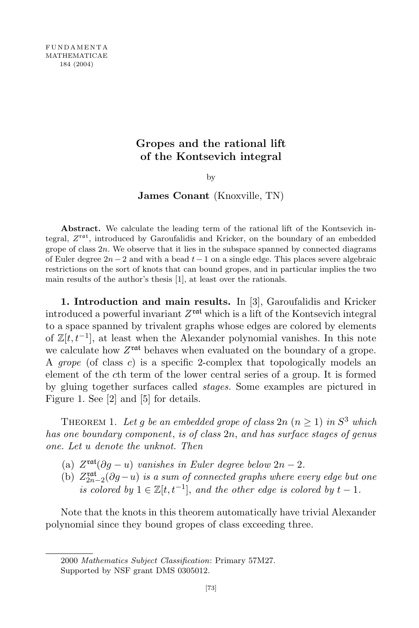## Gropes and the rational lift of the Kontsevich integral

by

### James Conant (Knoxville, TN)

Abstract. We calculate the leading term of the rational lift of the Kontsevich integral,  $Z^{\text{rat}}$ , introduced by Garoufalidis and Kricker, on the boundary of an embedded grope of class  $2n$ . We observe that it lies in the subspace spanned by connected diagrams of Euler degree  $2n-2$  and with a bead  $t-1$  on a single edge. This places severe algebraic restrictions on the sort of knots that can bound gropes, and in particular implies the two main results of the author's thesis [1], at least over the rationals.

1. Introduction and main results. In [3], Garoufalidis and Kricker introduced a powerful invariant  $Z^{\text{rat}}$  which is a lift of the Kontsevich integral to a space spanned by trivalent graphs whose edges are colored by elements of  $\mathbb{Z}[t, t^{-1}]$ , at least when the Alexander polynomial vanishes. In this note we calculate how  $Z^{\text{rat}}$  behaves when evaluated on the boundary of a grope. A grope (of class c) is a specific 2-complex that topologically models an element of the cth term of the lower central series of a group. It is formed by gluing together surfaces called stages. Some examples are pictured in Figure 1. See [2] and [5] for details.

THEOREM 1. Let g be an embedded grope of class  $2n (n \geq 1)$  in  $S^3$  which has one boundary component, is of class 2n, and has surface stages of genus one. Let u denote the unknot. Then

- (a)  $Z^{\text{rat}}(\partial g u)$  vanishes in Euler degree below  $2n 2$ .
- (b)  $Z_{2n-2}^{\text{rat}}(\partial g-u)$  is a sum of connected graphs where every edge but one is colored by  $1 \in \mathbb{Z}[t, t^{-1}]$ , and the other edge is colored by  $t - 1$ .

Note that the knots in this theorem automatically have trivial Alexander polynomial since they bound gropes of class exceeding three.

2000 Mathematics Subject Classification: Primary 57M27. Supported by NSF grant DMS 0305012.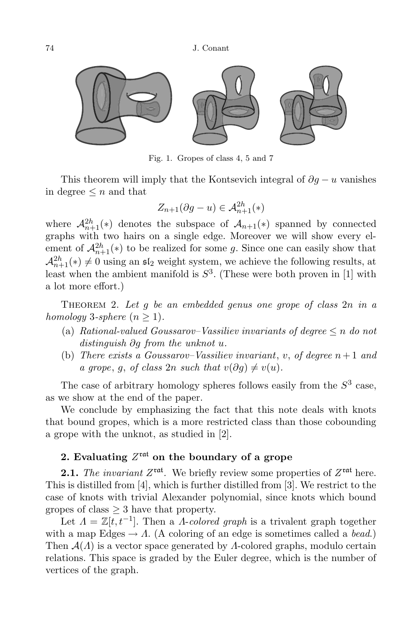74 J. Conant



Fig. 1. Gropes of class 4, 5 and 7

This theorem will imply that the Kontsevich integral of  $\partial g - u$  vanishes in degree  $\leq n$  and that

$$
Z_{n+1}(\partial g - u) \in \mathcal{A}_{n+1}^{2h}(\ast)
$$

where  $\mathcal{A}_{n+1}^{2h}(*)$  denotes the subspace of  $\mathcal{A}_{n+1}(*)$  spanned by connected graphs with two hairs on a single edge. Moreover we will show every element of  $\mathcal{A}_{n+1}^{2h}(*)$  to be realized for some g. Since one can easily show that  $\mathcal{A}_{n+1}^{2h}(*)\neq 0$  using an  $\mathfrak{sl}_2$  weight system, we achieve the following results, at least when the ambient manifold is  $S^3$ . (These were both proven in [1] with a lot more effort.)

THEOREM 2. Let q be an embedded genus one grope of class  $2n$  in a homology 3-sphere  $(n > 1)$ .

- (a) Rational-valued Goussarov–Vassiliev invariants of degree  $\leq n$  do not distinguish ∂g from the unknot u.
- (b) There exists a Goussarov–Vassiliev invariant, v, of degree  $n+1$  and a grope, q, of class 2n such that  $v(\partial q) \neq v(u)$ .

The case of arbitrary homology spheres follows easily from the  $S<sup>3</sup>$  case, as we show at the end of the paper.

We conclude by emphasizing the fact that this note deals with knots that bound gropes, which is a more restricted class than those cobounding a grope with the unknot, as studied in [2].

# 2. Evaluating  $Z^{\text{rat}}$  on the boundary of a grope

**2.1.** The invariant  $Z^{\text{rat}}$ . We briefly review some properties of  $Z^{\text{rat}}$  here. This is distilled from [4], which is further distilled from [3]. We restrict to the case of knots with trivial Alexander polynomial, since knots which bound gropes of class  $\geq$  3 have that property.

Let  $\Lambda = \mathbb{Z}[t, t^{-1}]$ . Then a  $\Lambda$ -colored graph is a trivalent graph together with a map Edges  $\rightarrow \Lambda$ . (A coloring of an edge is sometimes called a *bead*.) Then  $\mathcal{A}(\Lambda)$  is a vector space generated by  $\Lambda$ -colored graphs, modulo certain relations. This space is graded by the Euler degree, which is the number of vertices of the graph.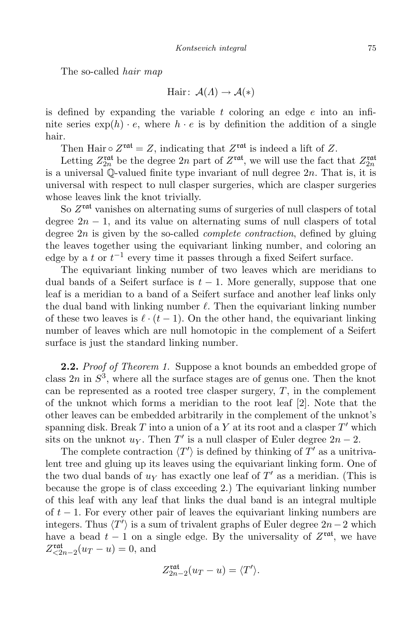The so-called hair map

$$
\text{Hair}: \ \mathcal{A}(\Lambda) \to \mathcal{A}(*)
$$

is defined by expanding the variable t coloring an edge  $e$  into an infinite series  $\exp(h) \cdot e$ , where  $h \cdot e$  is by definition the addition of a single hair.

Then Hair  $\circ Z^{\text{rat}} = Z$ , indicating that  $Z^{\text{rat}}$  is indeed a lift of Z.

Letting  $Z_{2n}^{\text{rat}}$  be the degree  $2n$  part of  $Z^{\text{rat}}$ , we will use the fact that  $Z_{2n}^{\text{rat}}$ is a universal  $\overline{Q}$ -valued finite type invariant of null degree  $2n$ . That is, it is universal with respect to null clasper surgeries, which are clasper surgeries whose leaves link the knot trivially.

So  $Z<sup>rat</sup>$  vanishes on alternating sums of surgeries of null claspers of total degree  $2n-1$ , and its value on alternating sums of null claspers of total degree  $2n$  is given by the so-called *complete contraction*, defined by gluing the leaves together using the equivariant linking number, and coloring an edge by a t or  $t^{-1}$  every time it passes through a fixed Seifert surface.

The equivariant linking number of two leaves which are meridians to dual bands of a Seifert surface is  $t - 1$ . More generally, suppose that one leaf is a meridian to a band of a Seifert surface and another leaf links only the dual band with linking number  $\ell$ . Then the equivariant linking number of these two leaves is  $\ell \cdot (t - 1)$ . On the other hand, the equivariant linking number of leaves which are null homotopic in the complement of a Seifert surface is just the standard linking number.

**2.2.** Proof of Theorem 1. Suppose a knot bounds an embedded grope of class  $2n$  in  $S^3$ , where all the surface stages are of genus one. Then the knot can be represented as a rooted tree clasper surgery,  $T$ , in the complement of the unknot which forms a meridian to the root leaf [2]. Note that the other leaves can be embedded arbitrarily in the complement of the unknot's spanning disk. Break  $T$  into a union of a  $Y$  at its root and a clasper  $T'$  which sits on the unknot  $u_Y$ . Then T' is a null clasper of Euler degree  $2n-2$ .

The complete contraction  $\langle T' \rangle$  is defined by thinking of  $T'$  as a unitrivalent tree and gluing up its leaves using the equivariant linking form. One of the two dual bands of  $u<sub>Y</sub>$  has exactly one leaf of  $T'$  as a meridian. (This is because the grope is of class exceeding 2.) The equivariant linking number of this leaf with any leaf that links the dual band is an integral multiple of  $t-1$ . For every other pair of leaves the equivariant linking numbers are integers. Thus  $\langle T' \rangle$  is a sum of trivalent graphs of Euler degree 2n – 2 which have a bead  $t-1$  on a single edge. By the universality of  $Z^{\text{rat}}$ , we have  $Z_{\leq 2n-2}^{\rm rat}(u_T - u) = 0$ , and

$$
Z_{2n-2}^{\mathrm{rat}}(u_T - u) = \langle T' \rangle.
$$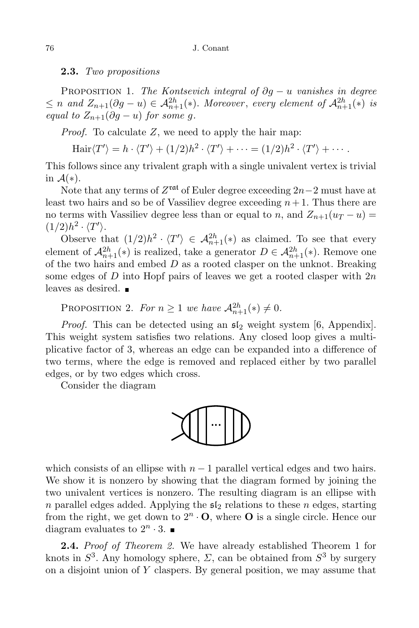#### 2.3. Two propositions

PROPOSITION 1. The Kontsevich integral of  $\partial g - u$  vanishes in degree  $\leq n$  and  $Z_{n+1}(\partial g - u) \in \mathcal{A}_{n+1}^{2h}(*)$ . Moreover, every element of  $\mathcal{A}_{n+1}^{2h}(*)$  is equal to  $Z_{n+1}(\partial g - u)$  for some g.

*Proof.* To calculate  $Z$ , we need to apply the hair map:

$$
\operatorname{Hair}\langle T'\rangle = h \cdot \langle T'\rangle + (1/2)h^2 \cdot \langle T'\rangle + \cdots = (1/2)h^2 \cdot \langle T'\rangle + \cdots.
$$

This follows since any trivalent graph with a single univalent vertex is trivial in  $\mathcal{A}(*).$ 

Note that any terms of  $Z^{\text{rat}}$  of Euler degree exceeding  $2n-2$  must have at least two hairs and so be of Vassiliev degree exceeding  $n+1$ . Thus there are no terms with Vassiliev degree less than or equal to n, and  $Z_{n+1}(u_T - u) =$  $(1/2)h^2\cdot \langle T'\rangle.$ 

Observe that  $(1/2)h^2 \cdot \langle T' \rangle \in \mathcal{A}_{n+1}^{2h}(*)$  as claimed. To see that every element of  $\mathcal{A}_{n+1}^{2h}(*)$  is realized, take a generator  $D \in \mathcal{A}_{n+1}^{2h}(*)$ . Remove one of the two hairs and embed  $D$  as a rooted clasper on the unknot. Breaking some edges of D into Hopf pairs of leaves we get a rooted clasper with  $2n$ leaves as desired.

PROPOSITION 2. For  $n \geq 1$  we have  $\mathcal{A}_{n+1}^{2h}(*) \neq 0$ .

*Proof.* This can be detected using an  $\mathfrak{sl}_2$  weight system [6, Appendix]. This weight system satisfies two relations. Any closed loop gives a multiplicative factor of 3, whereas an edge can be expanded into a difference of two terms, where the edge is removed and replaced either by two parallel edges, or by two edges which cross.

Consider the diagram



which consists of an ellipse with  $n-1$  parallel vertical edges and two hairs. We show it is nonzero by showing that the diagram formed by joining the two univalent vertices is nonzero. The resulting diagram is an ellipse with n parallel edges added. Applying the  $\mathfrak{sl}_2$  relations to these n edges, starting from the right, we get down to  $2^n \cdot \mathbf{O}$ , where **O** is a single circle. Hence our diagram evaluates to  $2^n \cdot 3$ .

2.4. Proof of Theorem 2. We have already established Theorem 1 for knots in  $S^3$ . Any homology sphere,  $\Sigma$ , can be obtained from  $S^3$  by surgery on a disjoint union of  $Y$  claspers. By general position, we may assume that